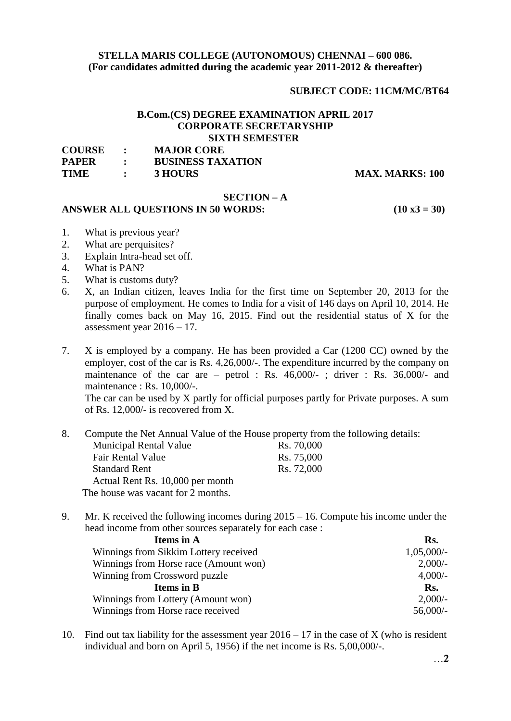# **STELLA MARIS COLLEGE (AUTONOMOUS) CHENNAI – 600 086. (For candidates admitted during the academic year 2011-2012 & thereafter)**

# **SUBJECT CODE: 11CM/MC/BT64**

# **B.Com.(CS) DEGREE EXAMINATION APRIL 2017 CORPORATE SECRETARYSHIP SIXTH SEMESTER**

| <b>COURSE</b> | <b>MAJOR CORE</b>        |
|---------------|--------------------------|
| <b>PAPER</b>  | <b>BUSINESS TAXATION</b> |
| <b>TIME</b>   | 3 HOURS                  |

**MAX. MARKS: 100** 

# **SECTION – A**

#### **ANSWER ALL QUESTIONS IN 50 WORDS: (10 x3 = 30)**

- 1. What is previous year?
- 2. What are perquisites?
- 3. Explain Intra-head set off.
- 4. What is PAN?
- 5. What is customs duty?
- 6. X, an Indian citizen, leaves India for the first time on September 20, 2013 for the purpose of employment. He comes to India for a visit of 146 days on April 10, 2014. He finally comes back on May 16, 2015. Find out the residential status of X for the assessment year  $2016 - 17$ .
- 7. X is employed by a company. He has been provided a Car (1200 CC) owned by the employer, cost of the car is Rs. 4,26,000/-. The expenditure incurred by the company on maintenance of the car are – petrol : Rs.  $46,000/$ -; driver : Rs.  $36,000/$ - and maintenance : Rs. 10,000/-.

The car can be used by X partly for official purposes partly for Private purposes. A sum of Rs. 12,000/- is recovered from X.

8. Compute the Net Annual Value of the House property from the following details:

| <b>Municipal Rental Value</b>      | Rs. 70,000 |
|------------------------------------|------------|
| Fair Rental Value                  | Rs. 75,000 |
| <b>Standard Rent</b>               | Rs. 72,000 |
| Actual Rent Rs. 10,000 per month   |            |
| The house was vacant for 2 months. |            |

9. Mr. K received the following incomes during 2015 – 16. Compute his income under the head income from other sources separately for each case :

| Rs.          |  |
|--------------|--|
| $1,05,000/-$ |  |
| $2,000/$ -   |  |
| $4,000/-$    |  |
| Rs.          |  |
| $2,000/$ -   |  |
| $56,000/-$   |  |
|              |  |

10. Find out tax liability for the assessment year  $2016 - 17$  in the case of X (who is resident individual and born on April 5, 1956) if the net income is Rs. 5,00,000/-.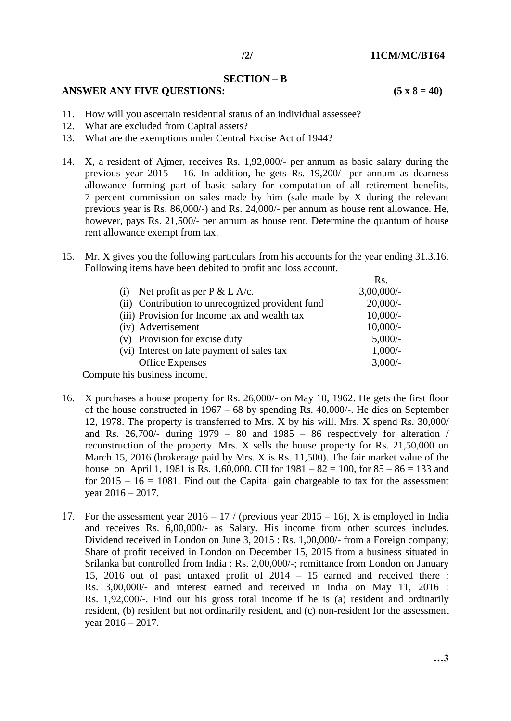Rs.

#### **SECTION – B**

# **ANSWER ANY FIVE QUESTIONS: (5 x 8 = 40)**

- 11. How will you ascertain residential status of an individual assessee?
- 12. What are excluded from Capital assets?
- 13. What are the exemptions under Central Excise Act of 1944?
- 14. X, a resident of Ajmer, receives Rs. 1,92,000/- per annum as basic salary during the previous year  $2015 - 16$ . In addition, he gets Rs. 19,200/- per annum as dearness allowance forming part of basic salary for computation of all retirement benefits, 7 percent commission on sales made by him (sale made by X during the relevant previous year is Rs. 86,000/-) and Rs. 24,000/- per annum as house rent allowance. He, however, pays Rs. 21,500/- per annum as house rent. Determine the quantum of house rent allowance exempt from tax.
- 15. Mr. X gives you the following particulars from his accounts for the year ending 31.3.16. Following items have been debited to profit and loss account.

|                                                  | KS.           |
|--------------------------------------------------|---------------|
| Net profit as per $P \& L A/c$ .<br>(i)          | $3,00,000/$ - |
| (ii) Contribution to unrecognized provident fund | $20,000/$ -   |
| (iii) Provision for Income tax and wealth tax    | $10,000/-$    |
| (iv) Advertisement                               | $10,000/-$    |
| (v) Provision for excise duty                    | $5,000/-$     |
| (vi) Interest on late payment of sales tax       | $1,000/-$     |
| <b>Office Expenses</b>                           | $3,000/-$     |
|                                                  |               |

Compute his business income.

- 16. X purchases a house property for Rs. 26,000/- on May 10, 1962. He gets the first floor of the house constructed in 1967 – 68 by spending Rs. 40,000/-. He dies on September 12, 1978. The property is transferred to Mrs. X by his will. Mrs. X spend Rs. 30,000/ and Rs. 26,700/- during  $1979 - 80$  and  $1985 - 86$  respectively for alteration / reconstruction of the property. Mrs. X sells the house property for Rs. 21,50,000 on March 15, 2016 (brokerage paid by Mrs. X is Rs. 11,500). The fair market value of the house on April 1, 1981 is Rs. 1,60,000. CII for  $1981 - 82 = 100$ , for  $85 - 86 = 133$  and for  $2015 - 16 = 1081$ . Find out the Capital gain chargeable to tax for the assessment year 2016 – 2017.
- 17. For the assessment year  $2016 17$  / (previous year  $2015 16$ ), X is employed in India and receives Rs. 6,00,000/- as Salary. His income from other sources includes. Dividend received in London on June 3, 2015 : Rs. 1,00,000/- from a Foreign company; Share of profit received in London on December 15, 2015 from a business situated in Srilanka but controlled from India : Rs. 2,00,000/-; remittance from London on January 15, 2016 out of past untaxed profit of 2014 – 15 earned and received there : Rs. 3,00,000/- and interest earned and received in India on May 11, 2016 : Rs. 1,92,000/-. Find out his gross total income if he is (a) resident and ordinarily resident, (b) resident but not ordinarily resident, and (c) non-resident for the assessment year 2016 – 2017.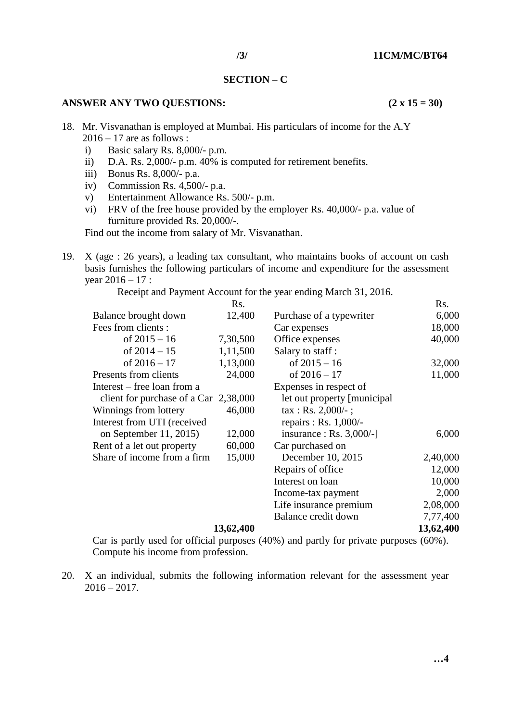#### **SECTION – C**

# **ANSWER ANY TWO QUESTIONS: (2 x 15 = 30)**

- 18. Mr. Visvanathan is employed at Mumbai. His particulars of income for the A.Y  $2016 - 17$  are as follows :
	- i) Basic salary Rs. 8,000/- p.m.
	- ii) D.A. Rs. 2,000/- p.m. 40% is computed for retirement benefits.
	- iii) Bonus Rs. 8,000/- p.a.
	- iv) Commission Rs. 4,500/- p.a.
	- v) Entertainment Allowance Rs. 500/- p.m.
	- vi) FRV of the free house provided by the employer Rs. 40,000/- p.a. value of furniture provided Rs. 20,000/-.

Find out the income from salary of Mr. Visvanathan.

19. X (age : 26 years), a leading tax consultant, who maintains books of account on cash basis furnishes the following particulars of income and expenditure for the assessment year  $2016 - 17$  :

Receipt and Payment Account for the year ending March 31, 2016.

|                                         | Rs.       |                                     | Rs.       |
|-----------------------------------------|-----------|-------------------------------------|-----------|
| Balance brought down                    | 12,400    | Purchase of a typewriter            | 6,000     |
| Fees from clients :                     |           | Car expenses                        | 18,000    |
| of $2015 - 16$                          | 7,30,500  | Office expenses                     | 40,000    |
| of $2014 - 15$                          | 1,11,500  | Salary to staff:                    |           |
| of $2016 - 17$                          | 1,13,000  | of $2015 - 16$                      | 32,000    |
| Presents from clients                   | 24,000    | of $2016 - 17$                      | 11,000    |
| Interest – free loan from a             |           | Expenses in respect of              |           |
| client for purchase of a Car $2,38,000$ |           | let out property [municipal]        |           |
| Winnings from lottery                   | 46,000    | $\text{tax} : \text{Rs. } 2,000/4;$ |           |
| Interest from UTI (received             |           | repairs : Rs. $1,000/-$             |           |
| on September $11, 2015$                 | 12,000    | insurance : Rs. $3,000/-$ ]         | 6,000     |
| Rent of a let out property              | 60,000    | Car purchased on                    |           |
| Share of income from a firm             | 15,000    | December 10, 2015                   | 2,40,000  |
|                                         |           | Repairs of office                   | 12,000    |
|                                         |           | Interest on loan                    | 10,000    |
|                                         |           | Income-tax payment                  | 2,000     |
|                                         |           | Life insurance premium              | 2,08,000  |
|                                         |           | Balance credit down                 | 7,77,400  |
|                                         | 13,62,400 |                                     | 13,62,400 |

Car is partly used for official purposes (40%) and partly for private purposes (60%). Compute his income from profession.

20. X an individual, submits the following information relevant for the assessment year  $2016 - 2017$ .